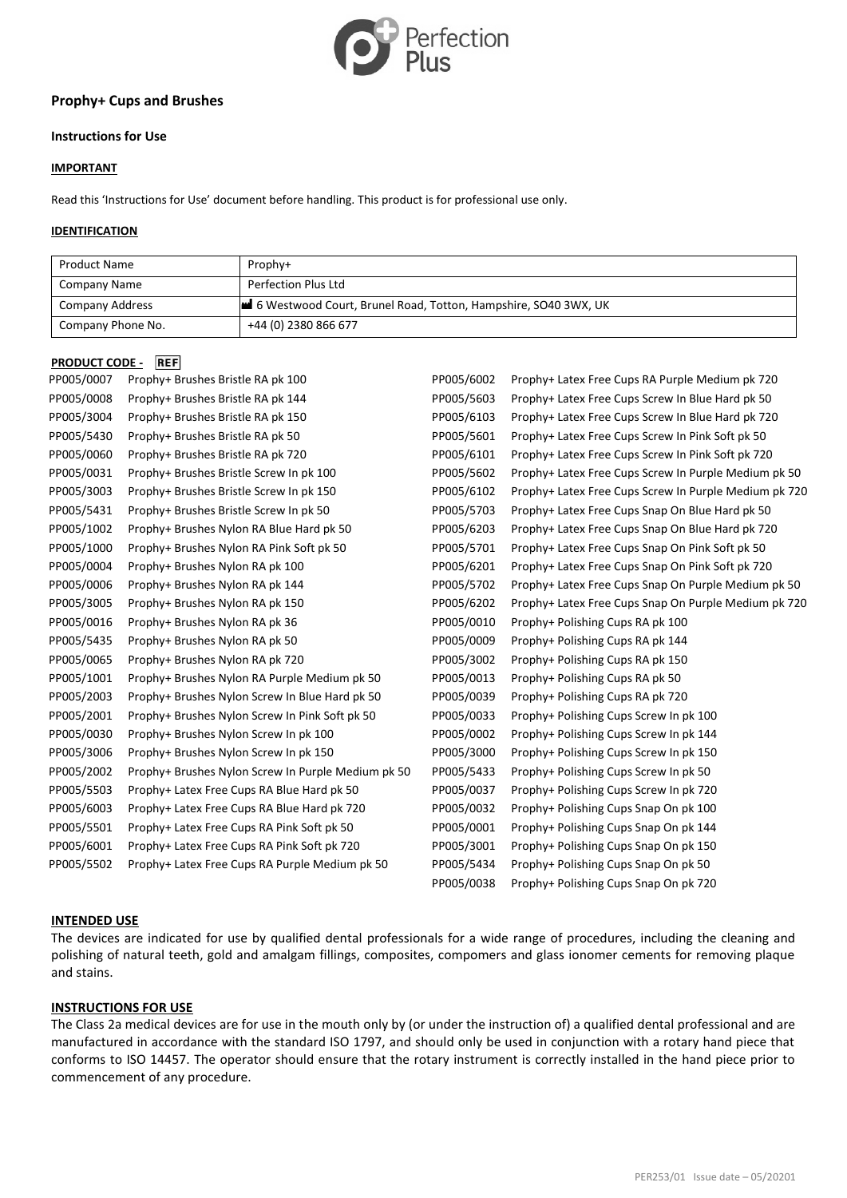

# **Prophy+ Cups and Brushes**

# **Instructions for Use**

# **IMPORTANT**

Read this 'Instructions for Use' document before handling. This product is for professional use only.

# **IDENTIFICATION**

| <b>Product Name</b> | Prophy+                                                        |
|---------------------|----------------------------------------------------------------|
| Company Name        | Perfection Plus Ltd                                            |
| Company Address     | 6 Westwood Court, Brunel Road, Totton, Hampshire, SO40 3WX, UK |
| Company Phone No.   | +44 (0) 2380 866 677                                           |

# **PRODUCT CODE PEE**

| י ייטטער נטש |                                                    |            |                                                       |
|--------------|----------------------------------------------------|------------|-------------------------------------------------------|
| PP005/0007   | Prophy+ Brushes Bristle RA pk 100                  | PP005/6002 | Prophy+ Latex Free Cups RA Purple Medium pk 720       |
| PP005/0008   | Prophy+ Brushes Bristle RA pk 144                  | PP005/5603 | Prophy+ Latex Free Cups Screw In Blue Hard pk 50      |
| PP005/3004   | Prophy+ Brushes Bristle RA pk 150                  | PP005/6103 | Prophy+ Latex Free Cups Screw In Blue Hard pk 720     |
| PP005/5430   | Prophy+ Brushes Bristle RA pk 50                   | PP005/5601 | Prophy+ Latex Free Cups Screw In Pink Soft pk 50      |
| PP005/0060   | Prophy+ Brushes Bristle RA pk 720                  | PP005/6101 | Prophy+ Latex Free Cups Screw In Pink Soft pk 720     |
| PP005/0031   | Prophy+ Brushes Bristle Screw In pk 100            | PP005/5602 | Prophy+ Latex Free Cups Screw In Purple Medium pk 50  |
| PP005/3003   | Prophy+ Brushes Bristle Screw In pk 150            | PP005/6102 | Prophy+ Latex Free Cups Screw In Purple Medium pk 720 |
| PP005/5431   | Prophy+ Brushes Bristle Screw In pk 50             | PP005/5703 | Prophy+ Latex Free Cups Snap On Blue Hard pk 50       |
| PP005/1002   | Prophy+ Brushes Nylon RA Blue Hard pk 50           | PP005/6203 | Prophy+ Latex Free Cups Snap On Blue Hard pk 720      |
| PP005/1000   | Prophy+ Brushes Nylon RA Pink Soft pk 50           | PP005/5701 | Prophy+ Latex Free Cups Snap On Pink Soft pk 50       |
| PP005/0004   | Prophy+ Brushes Nylon RA pk 100                    | PP005/6201 | Prophy+ Latex Free Cups Snap On Pink Soft pk 720      |
| PP005/0006   | Prophy+ Brushes Nylon RA pk 144                    | PP005/5702 | Prophy+ Latex Free Cups Snap On Purple Medium pk 50   |
| PP005/3005   | Prophy+ Brushes Nylon RA pk 150                    | PP005/6202 | Prophy+ Latex Free Cups Snap On Purple Medium pk 720  |
| PP005/0016   | Prophy+ Brushes Nylon RA pk 36                     | PP005/0010 | Prophy+ Polishing Cups RA pk 100                      |
| PP005/5435   | Prophy+ Brushes Nylon RA pk 50                     | PP005/0009 | Prophy+ Polishing Cups RA pk 144                      |
| PP005/0065   | Prophy+ Brushes Nylon RA pk 720                    | PP005/3002 | Prophy+ Polishing Cups RA pk 150                      |
| PP005/1001   | Prophy+ Brushes Nylon RA Purple Medium pk 50       | PP005/0013 | Prophy+ Polishing Cups RA pk 50                       |
| PP005/2003   | Prophy+ Brushes Nylon Screw In Blue Hard pk 50     | PP005/0039 | Prophy+ Polishing Cups RA pk 720                      |
| PP005/2001   | Prophy+ Brushes Nylon Screw In Pink Soft pk 50     | PP005/0033 | Prophy+ Polishing Cups Screw In pk 100                |
| PP005/0030   | Prophy+ Brushes Nylon Screw In pk 100              | PP005/0002 | Prophy+ Polishing Cups Screw In pk 144                |
| PP005/3006   | Prophy+ Brushes Nylon Screw In pk 150              | PP005/3000 | Prophy+ Polishing Cups Screw In pk 150                |
| PP005/2002   | Prophy+ Brushes Nylon Screw In Purple Medium pk 50 | PP005/5433 | Prophy+ Polishing Cups Screw In pk 50                 |
| PP005/5503   | Prophy+ Latex Free Cups RA Blue Hard pk 50         | PP005/0037 | Prophy+ Polishing Cups Screw In pk 720                |
| PP005/6003   | Prophy+ Latex Free Cups RA Blue Hard pk 720        | PP005/0032 | Prophy+ Polishing Cups Snap On pk 100                 |
| PP005/5501   | Prophy+ Latex Free Cups RA Pink Soft pk 50         | PP005/0001 | Prophy+ Polishing Cups Snap On pk 144                 |
| PP005/6001   | Prophy+ Latex Free Cups RA Pink Soft pk 720        | PP005/3001 | Prophy+ Polishing Cups Snap On pk 150                 |
| PP005/5502   | Prophy+ Latex Free Cups RA Purple Medium pk 50     | PP005/5434 | Prophy+ Polishing Cups Snap On pk 50                  |
|              |                                                    | PP005/0038 | Prophy+ Polishing Cups Snap On pk 720                 |

### **INTENDED USE**

The devices are indicated for use by qualified dental professionals for a wide range of procedures, including the cleaning and polishing of natural teeth, gold and amalgam fillings, composites, compomers and glass ionomer cements for removing plaque and stains.

### **INSTRUCTIONS FOR USE**

The Class 2a medical devices are for use in the mouth only by (or under the instruction of) a qualified dental professional and are manufactured in accordance with the standard ISO 1797, and should only be used in conjunction with a rotary hand piece that conforms to ISO 14457. The operator should ensure that the rotary instrument is correctly installed in the hand piece prior to commencement of any procedure.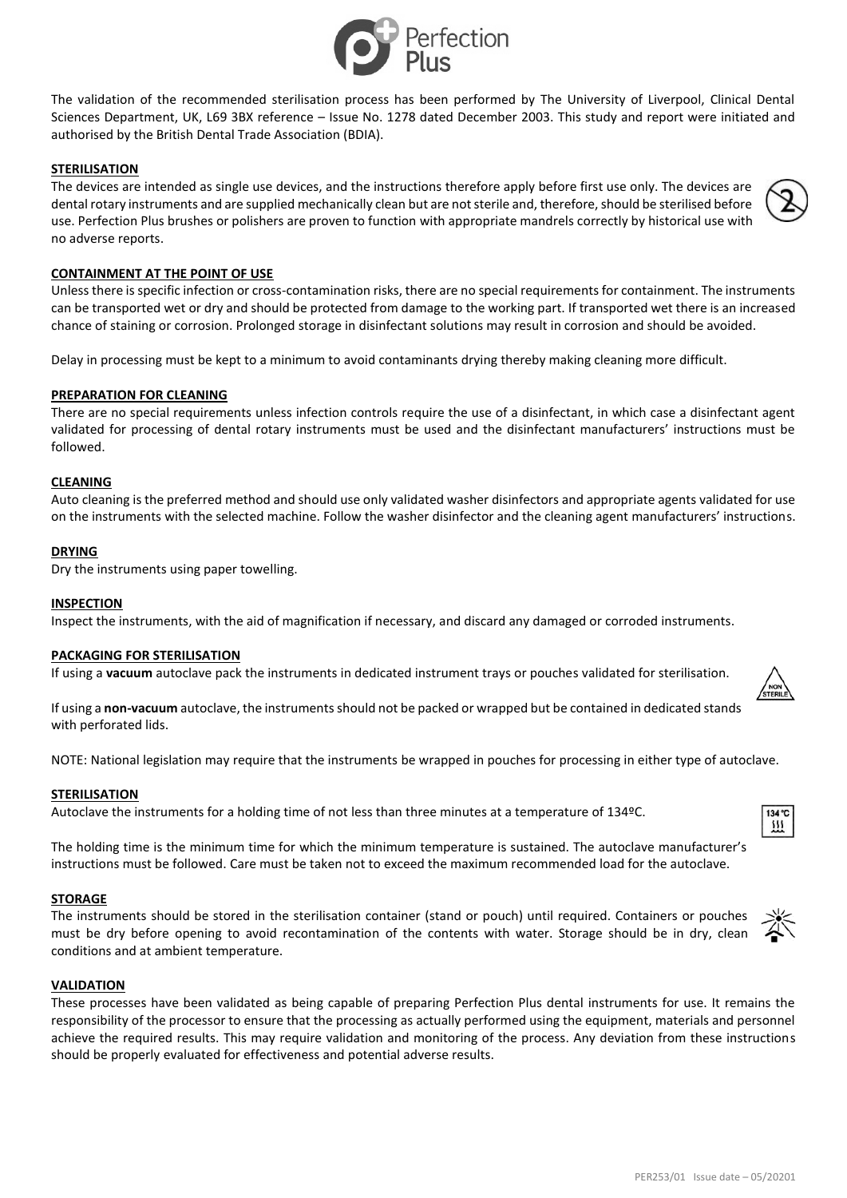

The validation of the recommended sterilisation process has been performed by The University of Liverpool, Clinical Dental Sciences Department, UK, L69 3BX reference – Issue No. 1278 dated December 2003. This study and report were initiated and authorised by the British Dental Trade Association (BDIA).

# **STERILISATION**

The devices are intended as single use devices, and the instructions therefore apply before first use only. The devices are dental rotary instruments and are supplied mechanically clean but are not sterile and, therefore, should be sterilised before use. Perfection Plus brushes or polishers are proven to function with appropriate mandrels correctly by historical use with no adverse reports.

# **CONTAINMENT AT THE POINT OF USE**

Unless there is specific infection or cross-contamination risks, there are no special requirements for containment. The instruments can be transported wet or dry and should be protected from damage to the working part. If transported wet there is an increased chance of staining or corrosion. Prolonged storage in disinfectant solutions may result in corrosion and should be avoided.

Delay in processing must be kept to a minimum to avoid contaminants drying thereby making cleaning more difficult.

### **PREPARATION FOR CLEANING**

There are no special requirements unless infection controls require the use of a disinfectant, in which case a disinfectant agent validated for processing of dental rotary instruments must be used and the disinfectant manufacturers' instructions must be followed.

### **CLEANING**

Auto cleaning is the preferred method and should use only validated washer disinfectors and appropriate agents validated for use on the instruments with the selected machine. Follow the washer disinfector and the cleaning agent manufacturers' instructions.

# **DRYING**

Dry the instruments using paper towelling.

### **INSPECTION**

Inspect the instruments, with the aid of magnification if necessary, and discard any damaged or corroded instruments.

### **PACKAGING FOR STERILISATION**

If using a **vacuum** autoclave pack the instruments in dedicated instrument trays or pouches validated for sterilisation.

If using a **non-vacuum** autoclave, the instruments should not be packed or wrapped but be contained in dedicated stands with perforated lids.

NOTE: National legislation may require that the instruments be wrapped in pouches for processing in either type of autoclave.

### **STERILISATION**

Autoclave the instruments for a holding time of not less than three minutes at a temperature of 134ºC.

The holding time is the minimum time for which the minimum temperature is sustained. The autoclave manufacturer's instructions must be followed. Care must be taken not to exceed the maximum recommended load for the autoclave.

### **STORAGE**

The instruments should be stored in the sterilisation container (stand or pouch) until required. Containers or pouches must be dry before opening to avoid recontamination of the contents with water. Storage should be in dry, clean conditions and at ambient temperature.

# **VALIDATION**

These processes have been validated as being capable of preparing Perfection Plus dental instruments for use. It remains the responsibility of the processor to ensure that the processing as actually performed using the equipment, materials and personnel achieve the required results. This may require validation and monitoring of the process. Any deviation from these instructions should be properly evaluated for effectiveness and potential adverse results.





134 °C m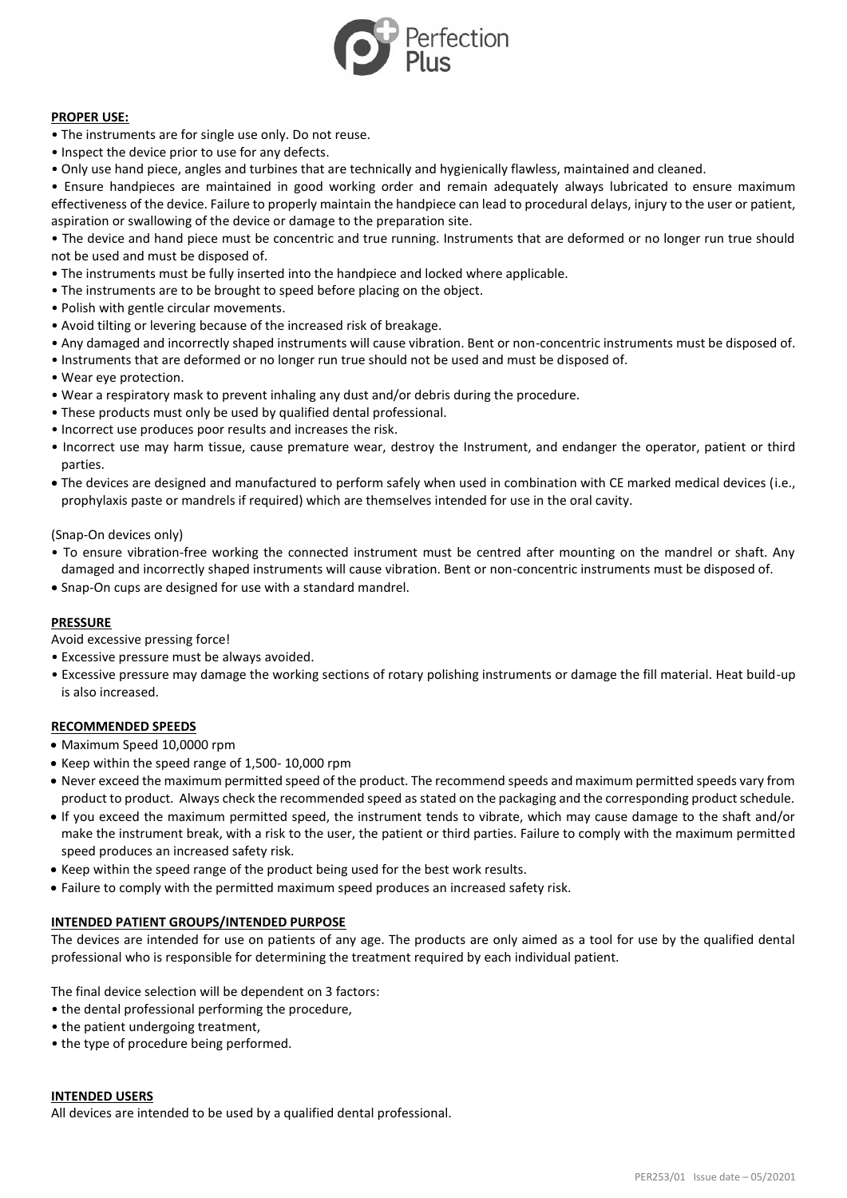

# **PROPER USE:**

- The instruments are for single use only. Do not reuse.
- Inspect the device prior to use for any defects.
- Only use hand piece, angles and turbines that are technically and hygienically flawless, maintained and cleaned.

• Ensure handpieces are maintained in good working order and remain adequately always lubricated to ensure maximum effectiveness of the device. Failure to properly maintain the handpiece can lead to procedural delays, injury to the user or patient, aspiration or swallowing of the device or damage to the preparation site.

• The device and hand piece must be concentric and true running. Instruments that are deformed or no longer run true should not be used and must be disposed of.

- The instruments must be fully inserted into the handpiece and locked where applicable.
- The instruments are to be brought to speed before placing on the object.
- Polish with gentle circular movements.
- Avoid tilting or levering because of the increased risk of breakage.
- Any damaged and incorrectly shaped instruments will cause vibration. Bent or non-concentric instruments must be disposed of.
- Instruments that are deformed or no longer run true should not be used and must be disposed of.
- Wear eye protection.
- Wear a respiratory mask to prevent inhaling any dust and/or debris during the procedure.
- These products must only be used by qualified dental professional.
- Incorrect use produces poor results and increases the risk.
- Incorrect use may harm tissue, cause premature wear, destroy the Instrument, and endanger the operator, patient or third parties.
- The devices are designed and manufactured to perform safely when used in combination with CE marked medical devices (i.e., prophylaxis paste or mandrels if required) which are themselves intended for use in the oral cavity.

(Snap-On devices only)

- To ensure vibration-free working the connected instrument must be centred after mounting on the mandrel or shaft. Any damaged and incorrectly shaped instruments will cause vibration. Bent or non-concentric instruments must be disposed of.
- Snap-On cups are designed for use with a standard mandrel.

### **PRESSURE**

Avoid excessive pressing force!

- Excessive pressure must be always avoided.
- Excessive pressure may damage the working sections of rotary polishing instruments or damage the fill material. Heat build-up is also increased.

### **RECOMMENDED SPEEDS**

- Maximum Speed 10,0000 rpm
- Keep within the speed range of 1,500- 10,000 rpm
- Never exceed the maximum permitted speed of the product. The recommend speeds and maximum permitted speeds vary from product to product. Always check the recommended speed as stated on the packaging and the corresponding product schedule.
- If you exceed the maximum permitted speed, the instrument tends to vibrate, which may cause damage to the shaft and/or make the instrument break, with a risk to the user, the patient or third parties. Failure to comply with the maximum permitted speed produces an increased safety risk.
- Keep within the speed range of the product being used for the best work results.
- Failure to comply with the permitted maximum speed produces an increased safety risk.

### **INTENDED PATIENT GROUPS/INTENDED PURPOSE**

The devices are intended for use on patients of any age. The products are only aimed as a tool for use by the qualified dental professional who is responsible for determining the treatment required by each individual patient.

The final device selection will be dependent on 3 factors:

- the dental professional performing the procedure,
- the patient undergoing treatment,
- the type of procedure being performed.

### **INTENDED USERS**

All devices are intended to be used by a qualified dental professional.